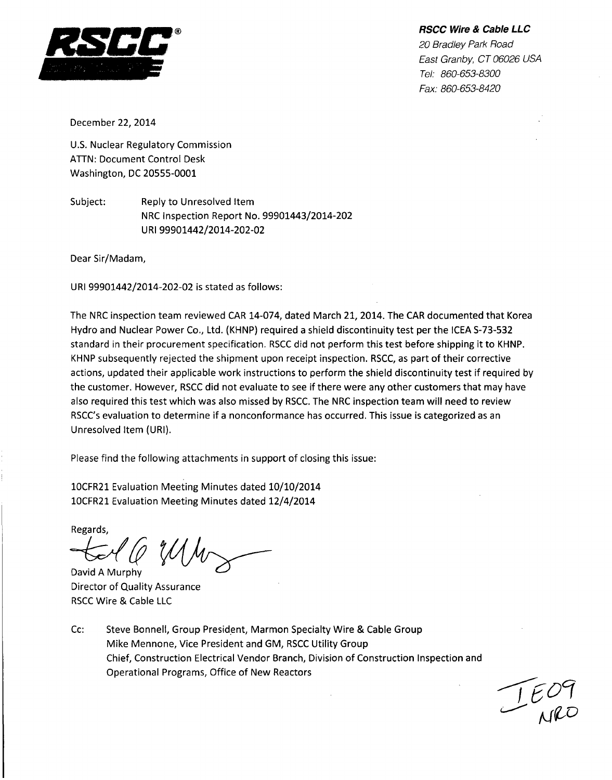*RSCC Wire & Cable LLC*



*20 Bradley Park Road East Granby, CT 06026 USA Tel: 860-653-8300 Fax: 860-653-8420*

December 22, 2014

U.S. Nuclear Regulatory Commission ATTN: Document Control Desk Washington, DC 20555-0001

Subject: Reply to Unresolved Item NRC Inspection Report No. 99901443/2014-202 URI 99901442/2014-202-02

Dear Sir/Madam,

URI 99901442/2014-202-02 is stated as follows:

The NRC inspection team reviewed CAR 14-074, dated March 21, 2014. The CAR documented that Korea Hydro and Nuclear Power Co., Ltd. (KHNP) required a shield discontinuity test per the ICEA S-73-532 standard in their procurement specification. RSCC did not perform this test before shipping it to KHNP. KHNP subsequently rejected the shipment upon receipt inspection. RSCC, as part of their corrective actions, updated their applicable work instructions to perform the shield discontinuity test if required by the customer. However, RSCC did not evaluate to see if there were any other customers that may have also required this test which was also missed by RSCC. The NRC inspection team will need to review RSCC's evaluation to determine if a nonconformance has occurred. This issue is categorized as an Unresolved Item (URI).

Please find the following attachments in support of closing this issue:

10CFR21 Evaluation Meeting Minutes dated 10/10/2014 10CFR21 Evaluation Meeting Minutes dated 12/4/2014

Regards,

0 MM David A Murphy

Director of Quality Assurance RSCC Wire & Cable LLC

Cc: Steve Bonnell, Group President, Marmon Specialty Wire & Cable Group Mike Mennone, Vice President and GM, RSCC Utility Group Chief, Construction Electrical Vendor Branch, Division of Construction Inspection and Operational Programs, Office of New Reactors

 $L_{100}$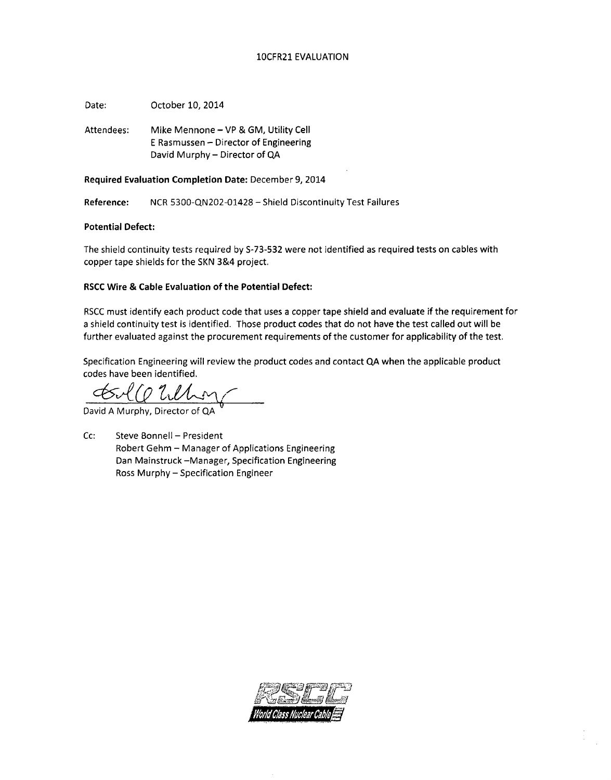### 10CFR21 EVALUATION

Date: October 10, 2014

Attendees: Mike Mennone - VP & GM, Utility Cell E Rasmussen - Director of Engineering David Murphy - Director of **QA**

Required Evaluation Completion Date: December 9, 2014

Reference: NCR 5300-QN202-01428 - Shield Discontinuity Test Failures

### Potential Defect:

The shield continuity tests required by S-73-532 were not identified as required tests on cables with copper tape shields for the SKN 3&4 project.

### RSCC Wire **&** Cable Evaluation of the Potential Defect:

RSCC must identify each product code that uses a copper tape shield and evaluate if the requirement for a shield continuity test is identified. Those product codes that do not have the test called out will be further evaluated against the procurement requirements of the customer for applicability of the test.

Specification Engineering will review the product codes and contact **QA** when the applicable product codes have been identified.

 $1021$ 

David A Murphy, Director of QA **<sup>6</sup>**

Cc: Steve Bonnell - President Robert Gehm - Manager of Applications Engineering Dan Mainstruck -Manager, Specification Engineering Ross Murphy- Specification Engineer